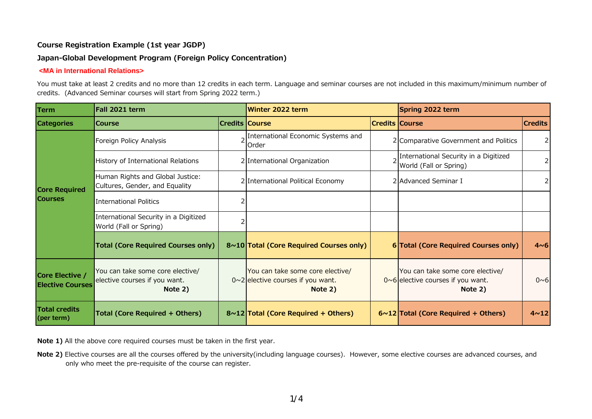# **Japan-Global Development Program (Foreign Policy Concentration)**

#### **<MA in International Relations>**

You must take at least 2 credits and no more than 12 credits in each term. Language and seminar courses are not included in this maximum/minimum number of credits. (Advanced Seminar courses will start from Spring 2022 term.)

| Term                                       | Fall 2021 term                                                               |                       | Winter 2022 term                                                                        |  | Spring 2022 term                                                                        |                 |
|--------------------------------------------|------------------------------------------------------------------------------|-----------------------|-----------------------------------------------------------------------------------------|--|-----------------------------------------------------------------------------------------|-----------------|
| <b>Categories</b>                          | <b>Course</b>                                                                | <b>Credits Course</b> |                                                                                         |  | <b>Credits Course</b>                                                                   | <b>Credits</b>  |
| <b>Core Required</b><br><b>Courses</b>     | Foreign Policy Analysis                                                      |                       | 2 International Economic Systems and<br>Order                                           |  | 2 Comparative Government and Politics                                                   | $\overline{2}$  |
|                                            | History of International Relations                                           |                       | 2 International Organization                                                            |  | International Security in a Digitized<br>World (Fall or Spring)                         |                 |
|                                            | Human Rights and Global Justice:<br>Cultures, Gender, and Equality           |                       | 2 International Political Economy                                                       |  | 2 Advanced Seminar I                                                                    |                 |
|                                            | <b>International Politics</b>                                                |                       |                                                                                         |  |                                                                                         |                 |
|                                            | International Security in a Digitized<br>World (Fall or Spring)              |                       |                                                                                         |  |                                                                                         |                 |
|                                            | <b>Total (Core Required Courses only)</b>                                    |                       | 8~10 Total (Core Required Courses only)                                                 |  | 6 Total (Core Required Courses only)                                                    | $4\nu 6$        |
| Core Elective /<br><b>Elective Courses</b> | You can take some core elective/<br>elective courses if you want.<br>Note 2) |                       | You can take some core elective/<br>$0 \sim 2$ elective courses if you want.<br>Note 2) |  | You can take some core elective/<br>$0 \sim 6$ elective courses if you want.<br>Note 2) | $0\nu 6$        |
| <b>Total credits</b><br>(per term)         | <b>Total (Core Required + Others)</b>                                        |                       | $8 \sim 12$ Total (Core Required + Others)                                              |  | $6 \sim 12$ Total (Core Required + Others)                                              | 4 <sub>12</sub> |

**Note 1)** All the above core required courses must be taken in the first year.

**Note 2)** Elective courses are all the courses offered by the university(including language courses). However, some elective courses are advanced courses, and only who meet the pre-requisite of the course can register.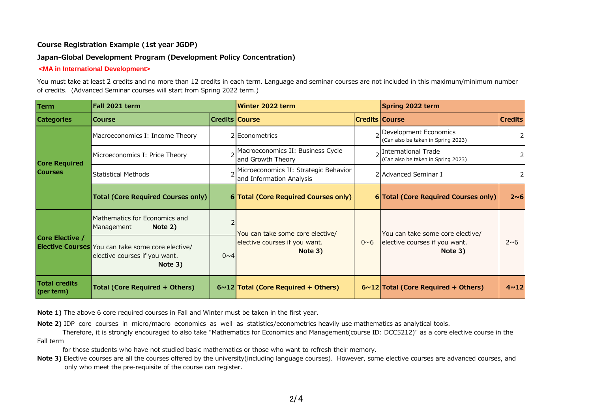#### **Japan-Global Development Program (Development Policy Concentration)**

#### **<MA in International Development>**

You must take at least 2 credits and no more than 12 credits in each term. Language and seminar courses are not included in this maximum/minimum number of credits. (Advanced Seminar courses will start from Spring 2022 term.)

| Term                                   | Fall 2021 term                                                                                       |         | Winter 2022 term                                                             |                       | Spring 2022 term                                                             |                 |
|----------------------------------------|------------------------------------------------------------------------------------------------------|---------|------------------------------------------------------------------------------|-----------------------|------------------------------------------------------------------------------|-----------------|
| <b>Categories</b>                      | <b>Course</b>                                                                                        |         | <b>Credits Course</b>                                                        | <b>Credits Course</b> |                                                                              | <b>Credits</b>  |
| <b>Core Required</b><br><b>Courses</b> | Macroeconomics I: Income Theory                                                                      |         | 2 Econometrics                                                               |                       | 2 Development Economics<br>(Can also be taken in Spring 2023)                |                 |
|                                        | Microeconomics I: Price Theory                                                                       |         | 2 Macroeconomics II: Business Cycle<br>and Growth Theory                     |                       | <sub>2</sub> International Trade<br>(Can also be taken in Spring 2023)       |                 |
|                                        | <b>Statistical Methods</b>                                                                           |         | Microeconomics II: Strategic Behavior<br>and Information Analysis            |                       | 2 Advanced Seminar I                                                         |                 |
|                                        | <b>Total (Core Required Courses only)</b>                                                            |         | 6 Total (Core Required Courses only)                                         |                       | 6 Total (Core Required Courses only)                                         | 2~6             |
| Core Elective /                        | Mathematics for Economics and<br>Note 2)<br>Management                                               |         | You can take some core elective/<br>elective courses if you want.<br>Note 3) |                       | You can take some core elective/<br>elective courses if you want.<br>Note 3) | $2\nu$ 6        |
|                                        | <b>Elective Courses</b> You can take some core elective/<br>elective courses if you want.<br>Note 3) | $0\nu4$ |                                                                              | $0\nu 6$              |                                                                              |                 |
| <b>Total credits</b><br>(per term)     | <b>Total (Core Required + Others)</b>                                                                |         | $6 \sim 12$ Total (Core Required + Others)                                   |                       | $6 \sim 12$ Total (Core Required + Others)                                   | 4 <sub>12</sub> |

**Note 1)** The above 6 core required courses in Fall and Winter must be taken in the first year.

**Note 2)** IDP core courses in micro/macro economics as well as statistics/econometrics heavily use mathematics as analytical tools.

Therefore, it is strongly encouraged to also take "Mathematics for Economics and Management(course ID: DCC5212)" as a core elective course in the Fall term

for those students who have not studied basic mathematics or those who want to refresh their memory.

**Note 3)** Elective courses are all the courses offered by the university(including language courses). However, some elective courses are advanced courses, and only who meet the pre-requisite of the course can register.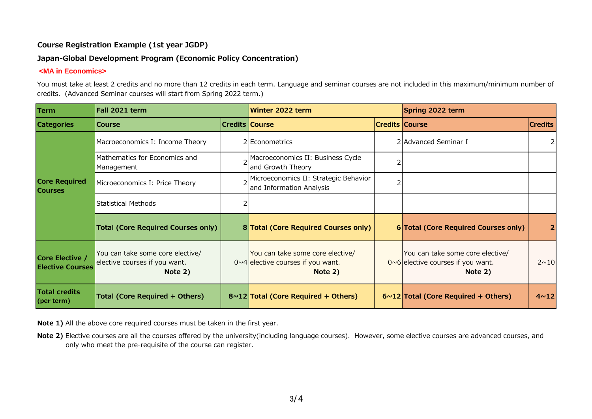# **Japan-Global Development Program (Economic Policy Concentration)**

#### **<MA in Economics>**

You must take at least 2 credits and no more than 12 credits in each term. Language and seminar courses are not included in this maximum/minimum number of credits. (Advanced Seminar courses will start from Spring 2022 term.)

| <b>Term</b>                                | Fall 2021 term                                                               |  | Winter 2022 term                                                                        |                       | Spring 2022 term                                                                        |                |
|--------------------------------------------|------------------------------------------------------------------------------|--|-----------------------------------------------------------------------------------------|-----------------------|-----------------------------------------------------------------------------------------|----------------|
| <b>Categories</b>                          | <b>Course</b>                                                                |  | <b>Credits Course</b>                                                                   | <b>Credits Course</b> |                                                                                         | <b>Credits</b> |
| <b>Core Required</b><br><b>Courses</b>     | Macroeconomics I: Income Theory                                              |  | 2 Econometrics                                                                          |                       | 2 Advanced Seminar I                                                                    | 2              |
|                                            | Mathematics for Economics and<br>Management                                  |  | Macroeconomics II: Business Cycle<br>and Growth Theory                                  |                       |                                                                                         |                |
|                                            | Microeconomics I: Price Theory                                               |  | Microeconomics II: Strategic Behavior<br>and Information Analysis                       |                       |                                                                                         |                |
|                                            | Statistical Methods                                                          |  |                                                                                         |                       |                                                                                         |                |
|                                            | <b>Total (Core Required Courses only)</b>                                    |  | 8 Total (Core Required Courses only)                                                    |                       | 6 Total (Core Required Courses only)                                                    | $\overline{2}$ |
| Core Elective /<br><b>Elective Courses</b> | You can take some core elective/<br>elective courses if you want.<br>Note 2) |  | You can take some core elective/<br>$0 \sim 4$ elective courses if you want.<br>Note 2) |                       | You can take some core elective/<br>$0 \sim 6$ elective courses if you want.<br>Note 2) | $2 \sim 10$    |
| <b>Total credits</b><br>(per term)         | Total (Core Required + Others)                                               |  | $8 \sim 12$ Total (Core Required + Others)                                              |                       | $6 \sim 12$ Total (Core Required + Others)                                              | $4 \sim 12$    |

**Note 1)** All the above core required courses must be taken in the first year.

**Note 2)** Elective courses are all the courses offered by the university(including language courses). However, some elective courses are advanced courses, and only who meet the pre-requisite of the course can register.